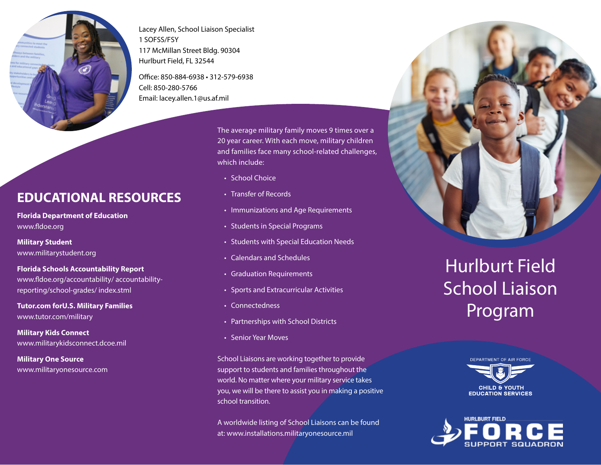

Lacey Allen, School Liaison Specialist 1 SOFSS/FSY 117 McMillan Street Bldg. 90304 Hurlburt Field, FL 32544

Office: 850-884-6938 • 312-579-6938 Cell: 850-280-5766 Email: lacey.allen.1@us.af.mil

**EDUCATIONAL RESOURCES**

**Florida Department of Education**  www.fldoe.org

**Military Student**  www.militarystudent.org

**Florida Schools Accountability Report**  www.fldoe.org/accountability/ accountabilityreporting/school-grades/ index.stml

**Tutor.com forU.S. Military Families**  www.tutor.com/military

**Military Kids Connect**  www.militarykidsconnect.dcoe.mil

**Military One Source**  www.militaryonesource.com The average military family moves 9 times over a 20 year career. With each move, military children and families face many school-related challenges, which include:

- School Choice
- Transfer of Records
- Immunizations and Age Requirements
- Students in Special Programs
- Students with Special Education Needs
- Calendars and Schedules
- Graduation Requirements
- Sports and Extracurricular Activities
- Connectedness
- Partnerships with School Districts
- Senior Year Moves

School Liaisons are working together to provide support to students and families throughout the world. No matter where your military service takes you, we will be there to assist you in making a positive school transition.

A worldwide listing of School Liaisons can be found at: www.installations.militaryonesource.mil

## Hurlburt Field School Liaison Program